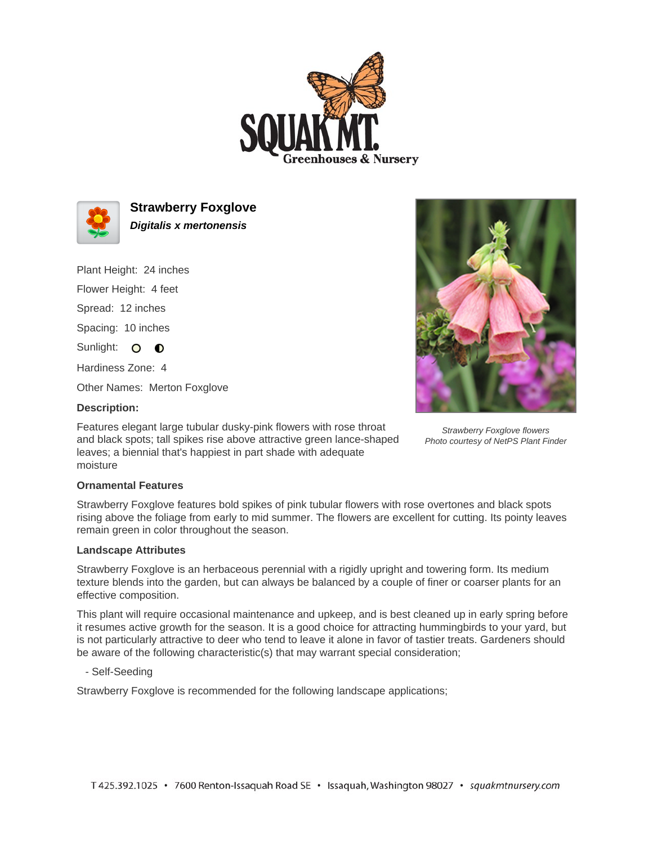



**Strawberry Foxglove Digitalis x mertonensis**

Plant Height: 24 inches

Flower Height: 4 feet

Spread: 12 inches

Spacing: 10 inches

Sunlight: O O

Hardiness Zone: 4

Other Names: Merton Foxglove

## **Description:**

Features elegant large tubular dusky-pink flowers with rose throat and black spots; tall spikes rise above attractive green lance-shaped leaves; a biennial that's happiest in part shade with adequate moisture



Strawberry Foxglove flowers Photo courtesy of NetPS Plant Finder

## **Ornamental Features**

Strawberry Foxglove features bold spikes of pink tubular flowers with rose overtones and black spots rising above the foliage from early to mid summer. The flowers are excellent for cutting. Its pointy leaves remain green in color throughout the season.

## **Landscape Attributes**

Strawberry Foxglove is an herbaceous perennial with a rigidly upright and towering form. Its medium texture blends into the garden, but can always be balanced by a couple of finer or coarser plants for an effective composition.

This plant will require occasional maintenance and upkeep, and is best cleaned up in early spring before it resumes active growth for the season. It is a good choice for attracting hummingbirds to your yard, but is not particularly attractive to deer who tend to leave it alone in favor of tastier treats. Gardeners should be aware of the following characteristic(s) that may warrant special consideration;

- Self-Seeding

Strawberry Foxglove is recommended for the following landscape applications;